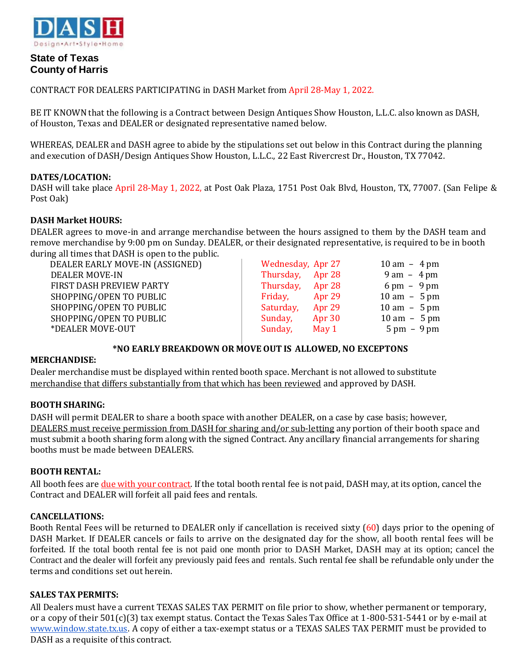

# **State of Texas County of Harris**

CONTRACT FOR DEALERS PARTICIPATING in DASH Market from April 28-May 1, 2022.

BE IT KNOWN that the following is a Contract between Design Antiques Show Houston, L.L.C. also known as DASH, of Houston, Texas and DEALER or designated representative named below.

WHEREAS, DEALER and DASH agree to abide by the stipulations set out below in this Contract during the planning and execution of DASH/Design Antiques Show Houston, L.L.C., 22 East Rivercrest Dr., Houston, TX 77042.

# **DATES/LOCATION:**

DASH will take place April 28-May 1, 2022, at Post Oak Plaza, 1751 Post Oak Blvd, Houston, TX, 77007. (San Felipe & Post Oak)

## **DASH Market HOURS:**

DEALER agrees to move-in and arrange merchandise between the hours assigned to them by the DASH team and remove merchandise by 9:00 pm on Sunday. DEALER, or their designated representative, is required to be in booth during all times that DASH is open to the public.

| DEALER EARLY MOVE-IN (ASSIGNED) | Wednesday, Apr 27   | $10 \text{ am} - 4 \text{ pm}$ |
|---------------------------------|---------------------|--------------------------------|
| <b>DEALER MOVE-IN</b>           | Thursday, Apr 28    | $9 \text{ am} - 4 \text{ pm}$  |
| FIRST DASH PREVIEW PARTY        | Thursday, Apr 28    | $6 \text{ pm} - 9 \text{ pm}$  |
| SHOPPING/OPEN TO PUBLIC         | Friday, Apr 29      | $10 \text{ am } -5 \text{ pm}$ |
| SHOPPING/OPEN TO PUBLIC         | Saturday,<br>Apr 29 | $10 \text{ am } -5 \text{ pm}$ |
| SHOPPING/OPEN TO PUBLIC         | Apr 30<br>Sunday,   | $10 \text{ am} - 5 \text{ pm}$ |
| *DEALER MOVE-OUT                | Sunday,<br>May $1$  | $5 \text{ pm} - 9 \text{ pm}$  |

# **\*NO EARLY BREAKDOWN OR MOVE OUT IS ALLOWED, NO EXCEPTONS**

## **MERCHANDISE:**

Dealer merchandise must be displayed within rented booth space. Merchant is not allowed to substitute merchandise that differs substantially from that which has been reviewed and approved by DASH.

## **BOOTH SHARING:**

DASH will permit DEALER to share a booth space with another DEALER, on a case by case basis; however, DEALERS must receive permission from DASH for sharing and/or sub-letting any portion of their booth space and must submit a booth sharing form along with the signed Contract. Any ancillary financial arrangements for sharing booths must be made between DEALERS.

## **BOOTH RENTAL:**

All booth fees are due with your contract. If the total booth rental fee is not paid, DASH may, at its option, cancel the Contract and DEALER will forfeit all paid fees and rentals.

## **CANCELLATIONS:**

Booth Rental Fees will be returned to DEALER only if cancellation is received sixty (60) days prior to the opening of DASH Market. If DEALER cancels or fails to arrive on the designated day for the show, all booth rental fees will be forfeited. If the total booth rental fee is not paid one month prior to DASH Market, DASH may at its option; cancel the Contract and the dealer will forfeit any previously paid fees and rentals. Such rental fee shall be refundable only under the terms and conditions set out herein.

## **SALES TAX PERMITS:**

All Dealers must have a current TEXAS SALES TAX PERMIT on file prior to show, whether permanent or temporary, or a copy of their 501(c)(3) tax exempt status. Contact the Texas Sales Tax Office at 1-800-531-5441 or by e-mail at [www.window.state.tx.us. A](http://www.window.state.tx.us/) copy of either a tax-exempt status or a TEXAS SALES TAX PERMIT must be provided to DASH as a requisite of this contract.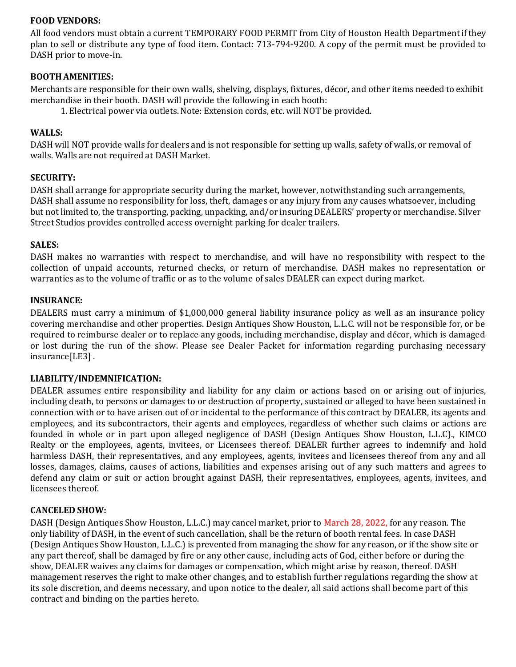## **FOOD VENDORS:**

All food vendors must obtain a current TEMPORARY FOOD PERMIT from City of Houston Health Department if they plan to sell or distribute any type of food item. Contact: 713-794-9200. A copy of the permit must be provided to DASH prior to move-in.

## **BOOTHAMENITIES:**

Merchants are responsible for their own walls, shelving, displays, fixtures, décor, and other items needed to exhibit merchandise in their booth. DASH will provide the following in each booth:

1. Electrical power via outlets.Note: Extension cords, etc. will NOT be provided.

## **WALLS:**

DASH will NOT provide walls for dealers and is not responsible for setting up walls, safety of walls, or removal of walls. Walls are not required at DASH Market.

## **SECURITY:**

DASH shall arrange for appropriate security during the market, however, notwithstanding such arrangements, DASH shall assume no responsibility for loss, theft, damages or any injury from any causes whatsoever, including but not limited to, the transporting, packing, unpacking, and/or insuring DEALERS' property or merchandise. Silver Street Studios provides controlled access overnight parking for dealer trailers.

#### **SALES:**

DASH makes no warranties with respect to merchandise, and will have no responsibility with respect to the collection of unpaid accounts, returned checks, or return of merchandise. DASH makes no representation or warranties as to the volume of traffic or as to the volume of sales DEALER can expect during market.

#### **INSURANCE:**

DEALERS must carry a minimum of \$1,000,000 general liability insurance policy as well as an insurance policy covering merchandise and other properties. Design Antiques Show Houston, L.L.C. will not be responsible for, or be required to reimburse dealer or to replace any goods, including merchandise, display and décor, which is damaged or lost during the run of the show. Please see Dealer Packet for information regarding purchasing necessary insurance[LE3] .

## **LIABILITY/INDEMNIFICATION:**

DEALER assumes entire responsibility and liability for any claim or actions based on or arising out of injuries, including death, to persons or damages to or destruction of property, sustained or alleged to have been sustained in connection with or to have arisen out of or incidental to the performance of this contract by DEALER, its agents and employees, and its subcontractors, their agents and employees, regardless of whether such claims or actions are founded in whole or in part upon alleged negligence of DASH (Design Antiques Show Houston, L.L.C)., KIMCO Realty or the employees, agents, invitees, or Licensees thereof. DEALER further agrees to indemnify and hold harmless DASH, their representatives, and any employees, agents, invitees and licensees thereof from any and all losses, damages, claims, causes of actions, liabilities and expenses arising out of any such matters and agrees to defend any claim or suit or action brought against DASH, their representatives, employees, agents, invitees, and licensees thereof.

## **CANCELED SHOW:**

DASH (Design Antiques Show Houston, L.L.C.) may cancel market, prior to March 28, 2022, for any reason. The only liability of DASH, in the event of such cancellation, shall be the return of booth rental fees. In case DASH (Design Antiques Show Houston, L.L.C.) is prevented from managing the show for any reason, or if the show site or any part thereof, shall be damaged by fire or any other cause, including acts of God, either before or during the show, DEALER waives any claims for damages or compensation, which might arise by reason, thereof. DASH management reserves the right to make other changes, and to establish further regulations regarding the show at its sole discretion, and deems necessary, and upon notice to the dealer, all said actions shall become part of this contract and binding on the parties hereto.